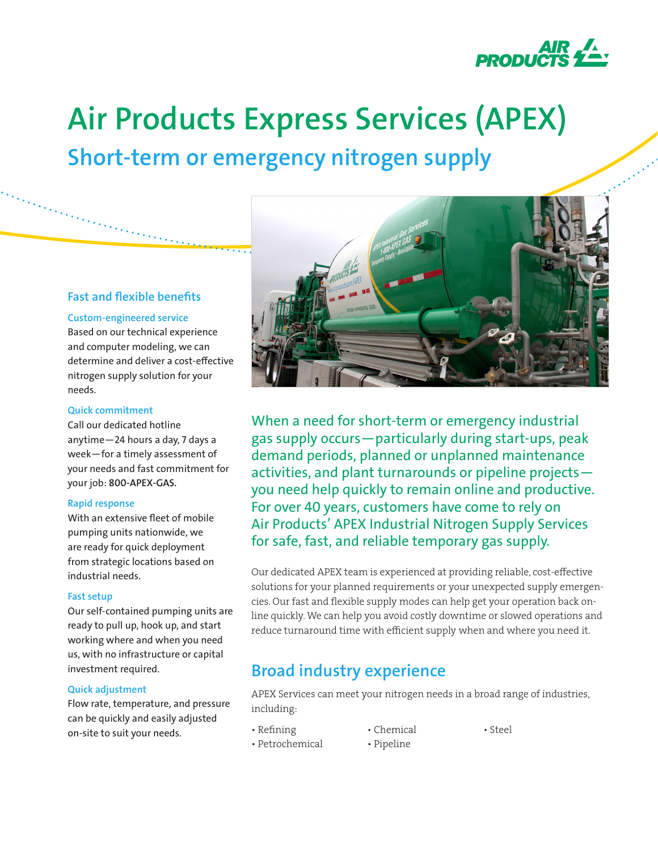

# **Air Products Express Services (APEX)**

**Short-term or emergency nitrogen supply**

### **Fast and flexible benefits**

#### **Custom-engineered service**

Based on our technical experience and computer modeling, we can determine and deliver a cost-effective nitrogen supply solution for your needs.

#### **Quick commitment**

Call our dedicated hotline anytime—24 hours a day, 7 days a week—for a timely assessment of your needs and fast commitment for your job: **800-APEX-GAS.**

### **Rapid response**

With an extensive fleet of mobile pumping units nationwide, we are ready for quick deployment from strategic locations based on industrial needs.

### **Fast setup**

Our self-contained pumping units are ready to pull up, hook up, and start working where and when you need us, with no infrastructure or capital investment required.

### **Quick adjustment**

Flow rate, temperature, and pressure can be quickly and easily adjusted on-site to suit your needs.



When a need for short-term or emergency industrial gas supply occurs—particularly during start-ups, peak demand periods, planned or unplanned maintenance activities, and plant turnarounds or pipeline projects you need help quickly to remain online and productive. For over 40 years, customers have come to rely on Air Products' APEX Industrial Nitrogen Supply Services for safe, fast, and reliable temporary gas supply.

Our dedicated APEX team is experienced at providing reliable, cost-effective solutions for your planned requirements or your unexpected supply emergencies. Our fast and flexible supply modes can help get your operation back online quickly. We can help you avoid costly downtime or slowed operations and reduce turnaround time with efficient supply when and where you need it.

### **Broad industry experience**

APEX Services can meet your nitrogen needs in a broad range of industries, including:

- 
- Refining Chemical Steel
- Petrochemical Pipeline
-